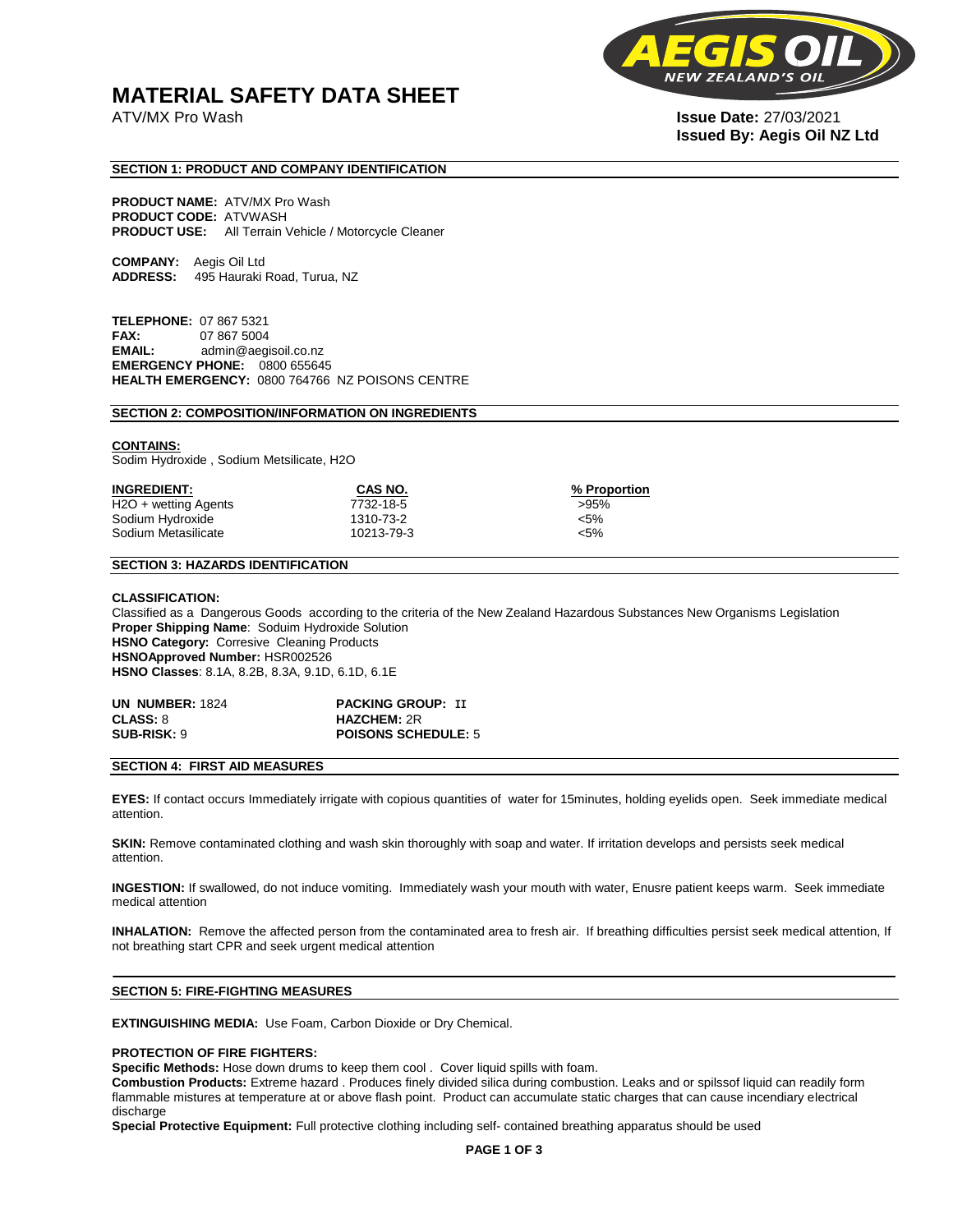# **MATERIAL SAFETY DATA SHEET**



# ATV/MX Pro Wash **Issue Date:** 27/03/2021 **Issued By: Aegis Oil NZ Ltd**

#### **SECTION 1: PRODUCT AND COMPANY IDENTIFICATION**

**PRODUCT NAME:** ATV/MX Pro Wash **PRODUCT CODE:** ATVWASH **PRODUCT USE:** All Terrain Vehicle / Motorcycle Cleaner

**COMPANY:** Aegis Oil Ltd **ADDRESS:** 495 Hauraki Road, Turua, NZ

**TELEPHONE:** 07 867 5321 **FAX:** 07 867 5004 **EMAIL:** admin@aegisoil.co.nz **EMERGENCY PHONE:** 0800 655645 **HEALTH EMERGENCY:** 0800 764766 NZ POISONS CENTRE

#### **SECTION 2: COMPOSITION/INFORMATION ON INGREDIENTS**

## **CONTAINS:**

Sodim Hydroxide , Sodium Metsilicate, H2O

| <b>INGREDIENT:</b>   | CAS NO.    | % Proportion |
|----------------------|------------|--------------|
| H2O + wetting Agents | 7732-18-5  | >95%         |
| Sodium Hydroxide     | 1310-73-2  | $< 5\%$      |
| Sodium Metasilicate  | 10213-79-3 | $< 5\%$      |

## **SECTION 3: HAZARDS IDENTIFICATION**

#### **CLASSIFICATION:**

Classified as a Dangerous Goods according to the criteria of the New Zealand Hazardous Substances New Organisms Legislation **Proper Shipping Name**: Soduim Hydroxide Solution **HSNO Category:** Corresive Cleaning Products **HSNOApproved Number:** HSR002526 **HSNO Classes**: 8.1A, 8.2B, 8.3A, 9.1D, 6.1D, 6.1E

| <b>UN NUMBER: 1824</b> | <b>PACKING GROUP: II</b>   |
|------------------------|----------------------------|
| <b>CLASS: 8</b>        | <b>HAZCHEM: 2R</b>         |
| <b>SUB-RISK: 9</b>     | <b>POISONS SCHEDULE: 5</b> |

#### **SECTION 4: FIRST AID MEASURES**

**EYES:** If contact occurs Immediately irrigate with copious quantities of water for 15minutes, holding eyelids open. Seek immediate medical attention.

**SKIN:** Remove contaminated clothing and wash skin thoroughly with soap and water. If irritation develops and persists seek medical attention.

**INGESTION:** If swallowed, do not induce vomiting. Immediately wash your mouth with water, Enusre patient keeps warm. Seek immediate medical attention

**INHALATION:** Remove the affected person from the contaminated area to fresh air. If breathing difficulties persist seek medical attention, If not breathing start CPR and seek urgent medical attention

#### **SECTION 5: FIRE-FIGHTING MEASURES**

**EXTINGUISHING MEDIA:** Use Foam, Carbon Dioxide or Dry Chemical.

#### **PROTECTION OF FIRE FIGHTERS:**

**Specific Methods:** Hose down drums to keep them cool . Cover liquid spills with foam.

**Combustion Products:** Extreme hazard . Produces finely divided silica during combustion. Leaks and or spilssof liquid can readily form flammable mistures at temperature at or above flash point. Product can accumulate static charges that can cause incendiary electrical discharge

**Special Protective Equipment:** Full protective clothing including self- contained breathing apparatus should be used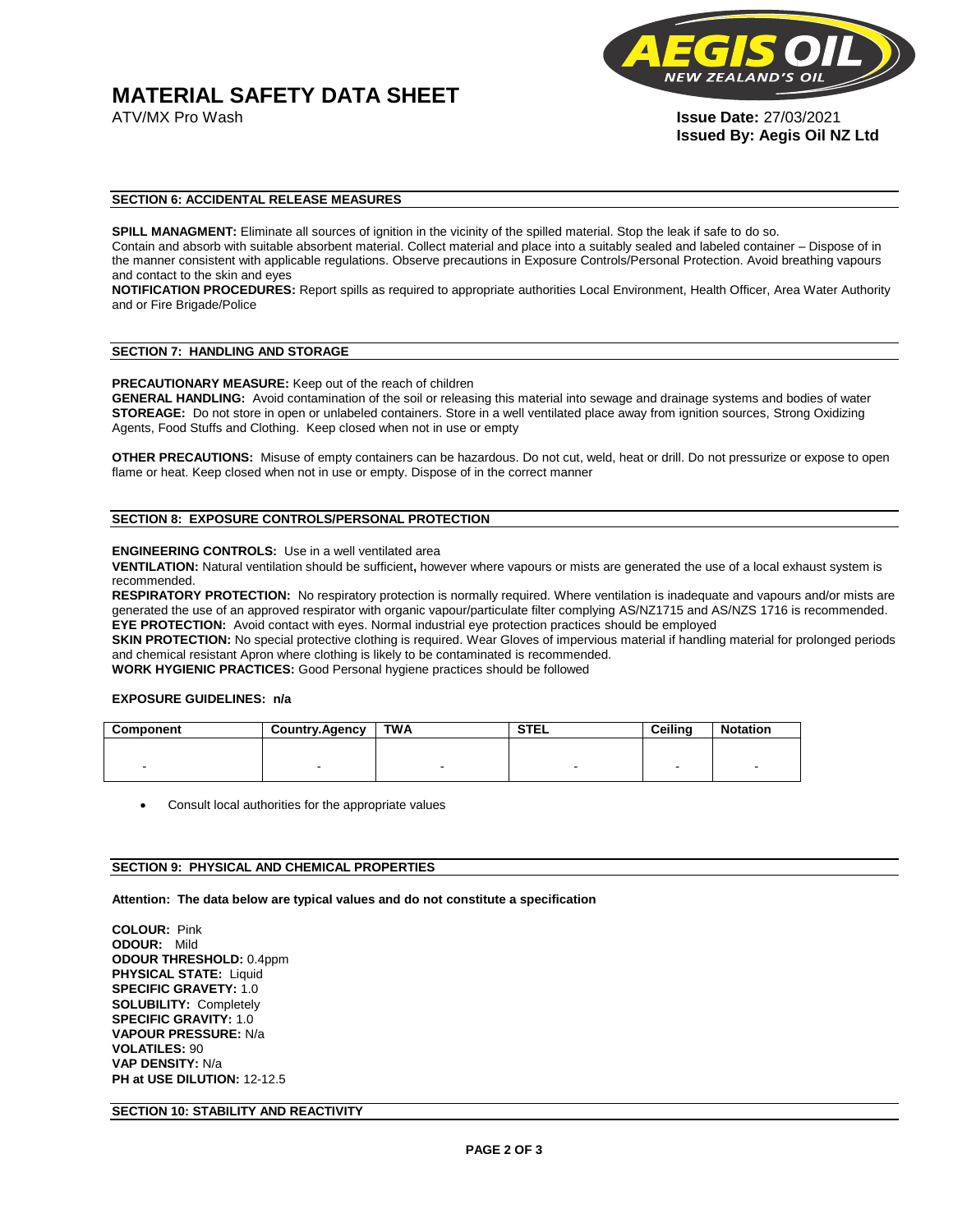**MATERIAL SAFETY DATA SHEET**



ATV/MX Pro Wash **Issue Date:** 27/03/2021 **Issued By: Aegis Oil NZ Ltd** 

## **SECTION 6: ACCIDENTAL RELEASE MEASURES**

**SPILL MANAGMENT:** Eliminate all sources of ignition in the vicinity of the spilled material. Stop the leak if safe to do so. Contain and absorb with suitable absorbent material. Collect material and place into a suitably sealed and labeled container – Dispose of in the manner consistent with applicable regulations. Observe precautions in Exposure Controls/Personal Protection. Avoid breathing vapours and contact to the skin and eyes

**NOTIFICATION PROCEDURES:** Report spills as required to appropriate authorities Local Environment, Health Officer, Area Water Authority and or Fire Brigade/Police

## **SECTION 7: HANDLING AND STORAGE**

**PRECAUTIONARY MEASURE:** Keep out of the reach of children

**GENERAL HANDLING:** Avoid contamination of the soil or releasing this material into sewage and drainage systems and bodies of water **STOREAGE:** Do not store in open or unlabeled containers. Store in a well ventilated place away from ignition sources, Strong Oxidizing Agents, Food Stuffs and Clothing. Keep closed when not in use or empty

**OTHER PRECAUTIONS:** Misuse of empty containers can be hazardous. Do not cut, weld, heat or drill. Do not pressurize or expose to open flame or heat. Keep closed when not in use or empty. Dispose of in the correct manner

### **SECTION 8: EXPOSURE CONTROLS/PERSONAL PROTECTION**

#### **ENGINEERING CONTROLS:** Use in a well ventilated area

**VENTILATION:** Natural ventilation should be sufficient**,** however where vapours or mists are generated the use of a local exhaust system is recommended.

**RESPIRATORY PROTECTION:** No respiratory protection is normally required. Where ventilation is inadequate and vapours and/or mists are generated the use of an approved respirator with organic vapour/particulate filter complying AS/NZ1715 and AS/NZS 1716 is recommended. **EYE PROTECTION:** Avoid contact with eyes. Normal industrial eye protection practices should be employed

SKIN PROTECTION: No special protective clothing is required. Wear Gloves of impervious material if handling material for prolonged periods and chemical resistant Apron where clothing is likely to be contaminated is recommended.

**WORK HYGIENIC PRACTICES:** Good Personal hygiene practices should be followed

#### **EXPOSURE GUIDELINES: n/a**

| Component | <b>Country.Agency</b> | TWA | <b>STEL</b>              | <b>Ceilina</b> | <b>Notation</b>          |
|-----------|-----------------------|-----|--------------------------|----------------|--------------------------|
|           |                       |     |                          |                |                          |
|           |                       |     | $\overline{\phantom{0}}$ | -              | $\overline{\phantom{a}}$ |

Consult local authorities for the appropriate values

#### **SECTION 9: PHYSICAL AND CHEMICAL PROPERTIES**

**Attention: The data below are typical values and do not constitute a specification** 

**COLOUR:** Pink **ODOUR:** Mild **ODOUR THRESHOLD:** 0.4ppm **PHYSICAL STATE: Liquid SPECIFIC GRAVETY:** 1.0 **SOLUBILITY:** Completely **SPECIFIC GRAVITY:** 1.0 **VAPOUR PRESSURE:** N/a **VOLATILES:** 90 **VAP DENSITY:** N/a **PH at USE DILUTION:** 12-12.5

### **SECTION 10: STABILITY AND REACTIVITY**